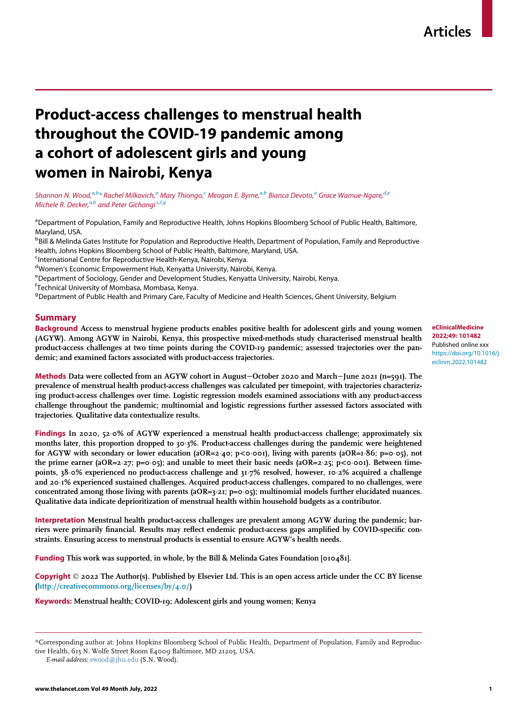# Product-access challenges to menstrual health throughout the COVID-19 pandemic among a cohort of adolescent girls and young women in Nairobi, Kenya

Sh[a](#page-0-0)nnon N. Woo[d](#page-0-4), $^{a,b}$  $^{a,b}$  $^{a,b}$  $^{a,b}$ [\\*](#page-0-2) Ra[c](#page-0-3)hel Milkovich, $^a$  Mary Thiongo, $^c$  Meagan E. Byrne, $^{a,b}$  Bianca Devoto, $^a$  Grace Wamue-Ngare, $^{d,e}$  $^{d,e}$  $^{d,e}$ Michele R. Decker,<sup>[a](#page-0-0)[,b](#page-0-1)</sup> and Peter Gi[c](#page-0-3)hangi<sup>c,[f](#page-0-6),[g](#page-0-7)</sup>

<span id="page-0-0"></span><sup>a</sup>Department of Population, Family and Reproductive Health, Johns Hopkins Bloomberg School of Public Health, Baltimore, Maryland, USA.

<span id="page-0-1"></span>**<sup>b</sup>Bill & Melinda Gates Institute for Population and Reproductive Health, Department of Population, Family and Reproductive** Health, Johns Hopkins Bloomberg School of Public Health, Baltimore, Maryland, USA.

<span id="page-0-3"></span><sup>c</sup>International Centre for Reproductive Health-Kenya, Nairobi, Kenya.

<span id="page-0-4"></span><sup>d</sup>Women's Economic Empowerment Hub, Kenyatta University, Nairobi, Kenya.<br><sup>e</sup>Department of Sociology, Gender and Development Studies, Kenyatta Unive

<span id="page-0-5"></span>eDepartment of Sociology, Gender and Development Studies, Kenyatta University, Nairobi, Kenya.

<span id="page-0-6"></span>f Technical University of Mombasa, Mombasa, Kenya.

<span id="page-0-7"></span><sup>g</sup> Department of Public Health and Primary Care, Faculty of Medicine and Health Sciences, Ghent University, Belgium

## Summary

Background Access to menstrual hygiene products enables positive health for adolescent girls and young women (AGYW). Among AGYW in Nairobi, Kenya, this prospective mixed-methods study characterised menstrual health product-access challenges at two time points during the COVID-19 pandemic; assessed trajectories over the pandemic; and examined factors associated with product-access trajectories.

Methods Data were collected from an AGYW cohort in August−October 2020 and March−June 2021 (n=591). The prevalence of menstrual health product-access challenges was calculated per timepoint, with trajectories characterizing product-access challenges over time. Logistic regression models examined associations with any product-access challenge throughout the pandemic; multinomial and logistic regressions further assessed factors associated with trajectories. Qualitative data contextualize results.

Findings In 2020, 52.0% of AGYW experienced a menstrual health product-access challenge; approximately six months later, this proportion dropped to 30.3%. Product-access challenges during the pandemic were heightened for AGYW with secondary or lower education (aOR=2·40; p<0·001), living with parents (aOR=1·86; p=0·05), not the prime earner (aOR=2 $\cdot$ 27; p=0 $\cdot$ 05); and unable to meet their basic needs (aOR=2 $\cdot$ 25; p<0 $\cdot$ 001). Between timepoints, 38 o% experienced no product-access challenge and 31.7% resolved, however, 10.2% acquired a challenge and 20¢1% experienced sustained challenges. Acquired product-access challenges, compared to no challenges, were concentrated among those living with parents ( $aOR=3.21$ ;  $p=0.05$ ); multinomial models further elucidated nuances. Qualitative data indicate deprioritization of menstrual health within household budgets as a contributor.

Interpretation Menstrual health product-access challenges are prevalent among AGYW during the pandemic; barriers were primarily financial. Results may reflect endemic product-access gaps amplified by COVID-specific constraints. Ensuring access to menstrual products is essential to ensure AGYW's health needs.

Funding This work was supported, in whole, by the Bill & Melinda Gates Foundation [010481].

**Copyright**  $\odot$  2022 The Author(s). Published by Elsevier Ltd. This is an open access article under the CC BY license [\(http://creativecommons.org/licenses/by/4.0/\)](http://creativecommons.org/licenses/by/4.0/)

Keywords: Menstrual health; COVID-19; Adolescent girls and young women; Kenya

eClinicalMedicine 2022;49: 101482 Published online xxx [https://doi.org/10.1016/j.](https://doi.org/10.1016/j.eclinm.2022.101482) [eclinm.2022.101482](https://doi.org/10.1016/j.eclinm.2022.101482)

<span id="page-0-2"></span><sup>\*</sup>Corresponding author at: Johns Hopkins Bloomberg School of Public Health, Department of Population, Family and Reproductive Health, 615 N. Wolfe Street Room E4009 Baltimore, MD 21205, USA.

E-mail address: [swood@jhu.edu](mailto:swood@jhu.edu) (S.N. Wood).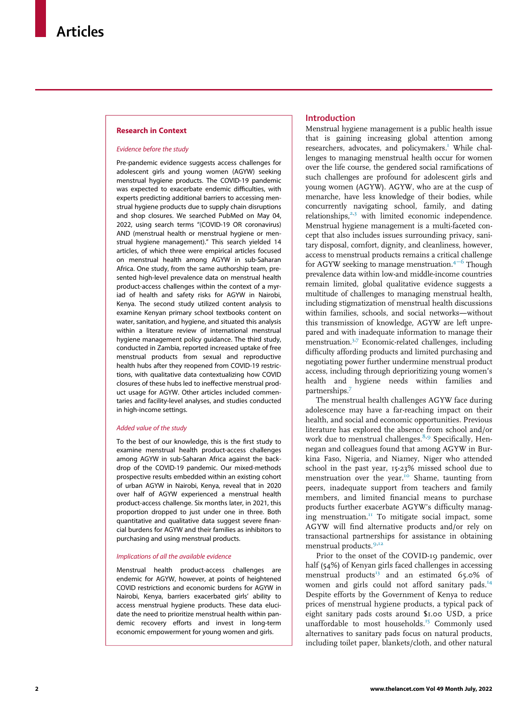#### Research in Context

#### Evidence before the study

Pre-pandemic evidence suggests access challenges for adolescent girls and young women (AGYW) seeking menstrual hygiene products. The COVID-19 pandemic was expected to exacerbate endemic difficulties, with experts predicting additional barriers to accessing menstrual hygiene products due to supply chain disruptions and shop closures. We searched PubMed on May 04, 2022, using search terms "(COVID-19 OR coronavirus) AND (menstrual health or menstrual hygiene or menstrual hygiene management)." This search yielded 14 articles, of which three were empirical articles focused on menstrual health among AGYW in sub-Saharan Africa. One study, from the same authorship team, presented high-level prevalence data on menstrual health product-access challenges within the context of a myriad of health and safety risks for AGYW in Nairobi, Kenya. The second study utilized content analysis to examine Kenyan primary school textbooks content on water, sanitation, and hygiene, and situated this analysis within a literature review of international menstrual hygiene management policy guidance. The third study, conducted in Zambia, reported increased uptake of free menstrual products from sexual and reproductive health hubs after they reopened from COVID-19 restrictions, with qualitative data contextualizing how COVID closures of these hubs led to ineffective menstrual product usage for AGYW. Other articles included commentaries and facility-level analyses, and studies conducted in high-income settings.

#### Added value of the study

To the best of our knowledge, this is the first study to examine menstrual health product-access challenges among AGYW in sub-Saharan Africa against the backdrop of the COVID-19 pandemic. Our mixed-methods prospective results embedded within an existing cohort of urban AGYW in Nairobi, Kenya, reveal that in 2020 over half of AGYW experienced a menstrual health product-access challenge. Six months later, in 2021, this proportion dropped to just under one in three. Both quantitative and qualitative data suggest severe financial burdens for AGYW and their families as inhibitors to purchasing and using menstrual products.

#### Implications of all the available evidence

Menstrual health product-access challenges are endemic for AGYW, however, at points of heightened COVID restrictions and economic burdens for AGYW in Nairobi, Kenya, barriers exacerbated girls' ability to access menstrual hygiene products. These data elucidate the need to prioritize menstrual health within pandemic recovery efforts and invest in long-term economic empowerment for young women and girls.

## Introduction

Menstrual hygiene management is a public health issue that is gaining increasing global attention among researchers, advocates, and policymakers.<sup>1</sup> While challenges to managing menstrual health occur for women over the life course, the gendered social ramifications of such challenges are profound for adolescent girls and young women (AGYW). AGYW, who are at the cusp of menarche, have less knowledge of their bodies, while concurrently navigating school, family, and dating relationships, $2,3$  $2,3$  $2,3$  with limited economic independence. Menstrual hygiene management is a multi-faceted concept that also includes issues surrounding privacy, sanitary disposal, comfort, dignity, and cleanliness, however, access to menstrual products remains a critical challenge for AGYW seeking to manage menstruation.4[−](#page-10-3)<sup>6</sup> Though prevalence data within low-and middle-income countries remain limited, global qualitative evidence suggests a multitude of challenges to managing menstrual health, including stigmatization of menstrual health discussions within families, schools, and social networks—without this transmission of knowledge, AGYW are left unprepared and with inadequate information to manage their menstruation[.3](#page-10-2)[,7](#page-10-4) Economic-related challenges, including difficulty affording products and limited purchasing and negotiating power further undermine menstrual product access, including through deprioritizing young women's health and hygiene needs within families and partnerships.[7](#page-10-4)

The menstrual health challenges AGYW face during adolescence may have a far-reaching impact on their health, and social and economic opportunities. Previous literature has explored the absence from school and/or work due to menstrual challenges.<sup>[8](#page-10-5),[9](#page-10-6)</sup> Specifically, Hennegan and colleagues found that among AGYW in Burkina Faso, Nigeria, and Niamey, Niger who attended school in the past year, 15-23% missed school due to menstruation over the year.<sup>[10](#page-10-7)</sup> Shame, taunting from peers, inadequate support from teachers and family members, and limited financial means to purchase products further exacerbate AGYW's difficulty managing menstruation. ${}^{II}$  To mitigate social impact, some AGYW will find alternative products and/or rely on transactional partnerships for assistance in obtaining menstrual products.<sup>[9,](#page-10-6)[12](#page-10-9)</sup>

Prior to the onset of the COVID-19 pandemic, over half (54%) of Kenyan girls faced challenges in accessing menstrual products $13$  and an estimated 65.0% of women and girls could not afford sanitary pads.<sup>[14](#page-10-11)</sup> Despite efforts by the Government of Kenya to reduce prices of menstrual hygiene products, a typical pack of eight sanitary pads costs around \$1.00 USD, a price unaffordable to most households.<sup>[15](#page-10-12)</sup> Commonly used alternatives to sanitary pads focus on natural products, including toilet paper, blankets/cloth, and other natural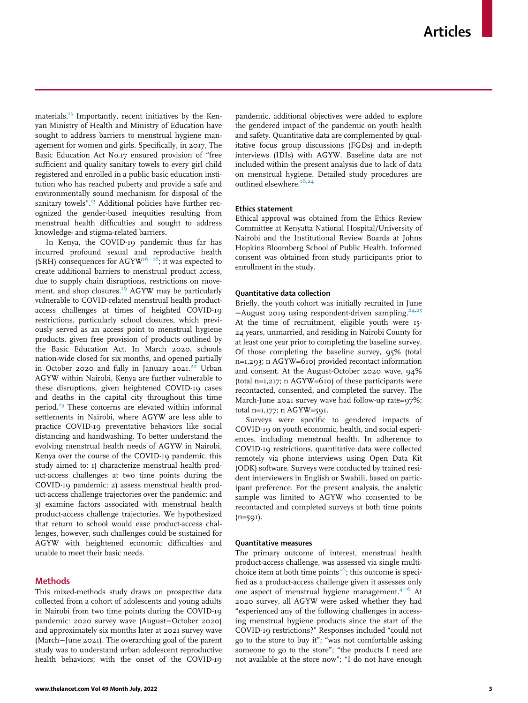materials.<sup>[13](#page-10-10)</sup> Importantly, recent initiatives by the Kenyan Ministry of Health and Ministry of Education have sought to address barriers to menstrual hygiene management for women and girls. Specifically, in 2017, The Basic Education Act No.17 ensured provision of "free sufficient and quality sanitary towels to every girl child registered and enrolled in a public basic education institution who has reached puberty and provide a safe and environmentally sound mechanism for disposal of the sanitary towels".<sup>[13](#page-10-10)</sup> Additional policies have further recognized the gender-based inequities resulting from menstrual health difficulties and sought to address knowledge- and stigma-related barriers.

In Kenya, the COVID-19 pandemic thus far has incurred profound sexual and reproductive health (SRH) consequences for AGYW<sup>16−18</sup>; it was expected to create additional barriers to menstrual product access, due to supply chain disruptions, restrictions on move-ment, and shop closures.<sup>[19](#page-10-14)</sup> AGYW may be particularly vulnerable to COVID-related menstrual health productaccess challenges at times of heighted COVID-19 restrictions, particularly school closures, which previously served as an access point to menstrual hygiene products, given free provision of products outlined by the Basic Education Act. In March 2020, schools nation-wide closed for six months, and opened partially in October 2020 and fully in January 2021.<sup>[22](#page-10-15)</sup> Urban AGYW within Nairobi, Kenya are further vulnerable to these disruptions, given heightened COVID-19 cases and deaths in the capital city throughout this time period.[23](#page-10-16) These concerns are elevated within informal settlements in Nairobi, where AGYW are less able to practice COVID-19 preventative behaviors like social distancing and handwashing. To better understand the evolving menstrual health needs of AGYW in Nairobi, Kenya over the course of the COVID-19 pandemic, this study aimed to: 1) characterize menstrual health product-access challenges at two time points during the COVID-19 pandemic; 2) assess menstrual health product-access challenge trajectories over the pandemic; and 3) examine factors associated with menstrual health product-access challenge trajectories. We hypothesized that return to school would ease product-access challenges, however, such challenges could be sustained for AGYW with heightened economic difficulties and unable to meet their basic needs.

## Methods

This mixed-methods study draws on prospective data collected from a cohort of adolescents and young adults in Nairobi from two time points during the COVID-19 pandemic: 2020 survey wave (August−October 2020) and approximately six months later at 2021 survey wave (March−June 2021). The overarching goal of the parent study was to understand urban adolescent reproductive health behaviors; with the onset of the COVID-19 pandemic, additional objectives were added to explore the gendered impact of the pandemic on youth health and safety. Quantitative data are complemented by qualitative focus group discussions (FGDs) and in-depth interviews (IDIs) with AGYW. Baseline data are not included within the present analysis due to lack of data on menstrual hygiene. Detailed study procedures are outlined elsewhere.<sup>[16](#page-10-13)[,24](#page-11-0)</sup>

## Ethics statement

Ethical approval was obtained from the Ethics Review Committee at Kenyatta National Hospital/University of Nairobi and the Institutional Review Boards at Johns Hopkins Bloomberg School of Public Health. Informed consent was obtained from study participants prior to enrollment in the study.

### Quantitative data collection

Briefly, the youth cohort was initially recruited in June −August 2019 using respondent-driven sampling.[24](#page-11-0),[25](#page-11-1) At the time of recruitment, eligible youth were 15- 24 years, unmarried, and residing in Nairobi County for at least one year prior to completing the baseline survey. Of those completing the baseline survey, 95% (total n=1,293; n AGYW=610) provided recontact information and consent. At the August-October 2020 wave, 94% (total  $n=1,217$ ; n AGYW=610) of these participants were recontacted, consented, and completed the survey. The March-June 2021 survey wave had follow-up rate=97%; total n=1,177; n AGYW=591.

Surveys were specific to gendered impacts of COVID-19 on youth economic, health, and social experiences, including menstrual health. In adherence to COVID-19 restrictions, quantitative data were collected remotely via phone interviews using Open Data Kit (ODK) software. Surveys were conducted by trained resident interviewers in English or Swahili, based on participant preference. For the present analysis, the analytic sample was limited to AGYW who consented to be recontacted and completed surveys at both time points  $(n=591)$ .

#### Quantitative measures

The primary outcome of interest, menstrual health product-access challenge, was assessed via single multi-choice item at both time points<sup>[26](#page-11-2)</sup>; this outcome is specified as a product-access challenge given it assesses only one aspect of menstrual hygiene management.<sup>4[−](#page-10-3)6</sup> At 2020 survey, all AGYW were asked whether they had "experienced any of the following challenges in accessing menstrual hygiene products since the start of the COVID-19 restrictions?" Responses included "could not go to the store to buy it"; "was not comfortable asking someone to go to the store"; "the products I need are not available at the store now"; "I do not have enough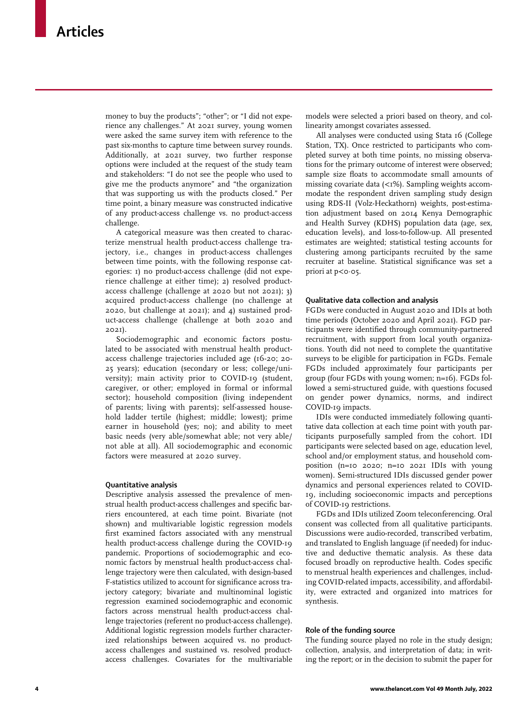money to buy the products"; "other"; or "I did not experience any challenges." At 2021 survey, young women were asked the same survey item with reference to the past six-months to capture time between survey rounds. Additionally, at 2021 survey, two further response options were included at the request of the study team and stakeholders: "I do not see the people who used to give me the products anymore" and "the organization that was supporting us with the products closed." Per time point, a binary measure was constructed indicative of any product-access challenge vs. no product-access challenge.

A categorical measure was then created to characterize menstrual health product-access challenge trajectory, i.e., changes in product-access challenges between time points, with the following response categories: 1) no product-access challenge (did not experience challenge at either time); 2) resolved productaccess challenge (challenge at 2020 but not 2021); 3) acquired product-access challenge (no challenge at 2020, but challenge at 2021); and 4) sustained product-access challenge (challenge at both 2020 and 2021).

Sociodemographic and economic factors postulated to be associated with menstrual health productaccess challenge trajectories included age (16-20; 20- 25 years); education (secondary or less; college/university); main activity prior to COVID-19 (student, caregiver, or other; employed in formal or informal sector); household composition (living independent of parents; living with parents); self-assessed household ladder tertile (highest; middle; lowest); prime earner in household (yes; no); and ability to meet basic needs (very able/somewhat able; not very able/ not able at all). All sociodemographic and economic factors were measured at 2020 survey.

#### Quantitative analysis

Descriptive analysis assessed the prevalence of menstrual health product-access challenges and specific barriers encountered, at each time point. Bivariate (not shown) and multivariable logistic regression models first examined factors associated with any menstrual health product-access challenge during the COVID-19 pandemic. Proportions of sociodemographic and economic factors by menstrual health product-access challenge trajectory were then calculated, with design-based F-statistics utilized to account for significance across trajectory category; bivariate and multinominal logistic regression examined sociodemographic and economic factors across menstrual health product-access challenge trajectories (referent no product-access challenge). Additional logistic regression models further characterized relationships between acquired vs. no productaccess challenges and sustained vs. resolved productaccess challenges. Covariates for the multivariable

models were selected a priori based on theory, and collinearity amongst covariates assessed.

All analyses were conducted using Stata 16 (College Station, TX). Once restricted to participants who completed survey at both time points, no missing observations for the primary outcome of interest were observed; sample size floats to accommodate small amounts of missing covariate data  $\left\langle \langle 1\% \rangle \right\rangle$ . Sampling weights accommodate the respondent driven sampling study design using RDS-II (Volz-Heckathorn) weights, post-estimation adjustment based on 2014 Kenya Demographic and Health Survey (KDHS) population data (age, sex, education levels), and loss-to-follow-up. All presented estimates are weighted; statistical testing accounts for clustering among participants recruited by the same recruiter at baseline. Statistical significance was set a priori at  $p < 0.05$ .

#### Qualitative data collection and analysis

FGDs were conducted in August 2020 and IDIs at both time periods (October 2020 and April 2021). FGD participants were identified through community-partnered recruitment, with support from local youth organizations. Youth did not need to complete the quantitative surveys to be eligible for participation in FGDs. Female FGDs included approximately four participants per group (four FGDs with young women; n=16). FGDs followed a semi-structured guide, with questions focused on gender power dynamics, norms, and indirect COVID-19 impacts.

IDIs were conducted immediately following quantitative data collection at each time point with youth participants purposefully sampled from the cohort. IDI participants were selected based on age, education level, school and/or employment status, and household composition (n=10 2020; n=10 2021 IDIs with young women). Semi-structured IDIs discussed gender power dynamics and personal experiences related to COVID-19, including socioeconomic impacts and perceptions of COVID-19 restrictions.

FGDs and IDIs utilized Zoom teleconferencing. Oral consent was collected from all qualitative participants. Discussions were audio-recorded, transcribed verbatim, and translated to English language (if needed) for inductive and deductive thematic analysis. As these data focused broadly on reproductive health. Codes specific to menstrual health experiences and challenges, including COVID-related impacts, accessibility, and affordability, were extracted and organized into matrices for synthesis.

## Role of the funding source

The funding source played no role in the study design; collection, analysis, and interpretation of data; in writing the report; or in the decision to submit the paper for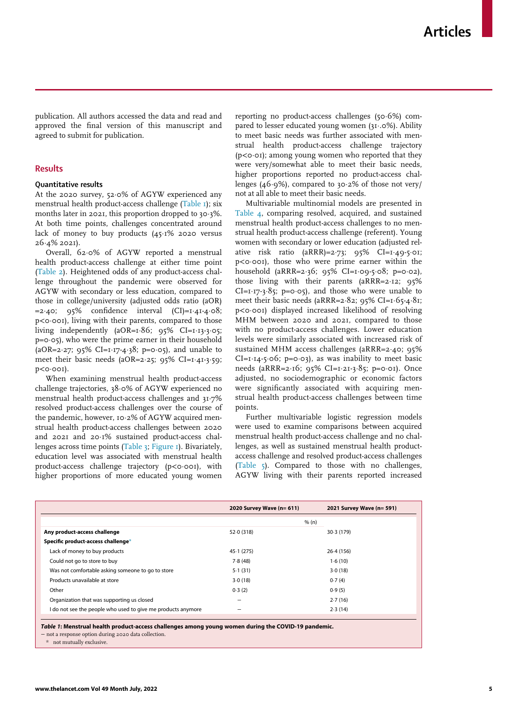publication. All authors accessed the data and read and approved the final version of this manuscript and agreed to submit for publication.

## Results

#### Quantitative results

At the 2020 survey, 52.0% of AGYW experienced any menstrual health product-access challenge ([Table 1\)](#page-4-0); six months later in 2021, this proportion dropped to  $30.3\%$ . At both time points, challenges concentrated around lack of money to buy products  $(45.1\% 2020$  versus  $26.4\%$  2021).

Overall, 62¢0% of AGYW reported a menstrual health product-access challenge at either time point [\(Table 2](#page-5-0)). Heightened odds of any product-access challenge throughout the pandemic were observed for AGYW with secondary or less education, compared to those in college/university (adjusted odds ratio (aOR)  $=2.40;$  95% confidence interval (CI)= $I.4I-4.08;$ p<0¢001), living with their parents, compared to those living independently (aOR= $I.\overline{86}$ ; 95% CI= $I.\overline{13}$ -3 $\cdot$ 05; p=0¢05), who were the prime earner in their household (aOR=2.27; 95% CI=1.17-4.38; p=0.05), and unable to meet their basic needs (aOR=2·25; 95% CI=1·41-3·59;  $p < o \cdot o \circ 1$ ).

When examining menstrual health product-access challenge trajectories, 38.0% of AGYW experienced no menstrual health product-access challenges and 31¢7% resolved product-access challenges over the course of the pandemic, however, 10·2% of AGYW acquired menstrual health product-access challenges between 2020 and 2021 and 20¢1% sustained product-access challenges across time points ([Table 3](#page-6-0); [Figure 1](#page-7-0)). Bivariately, education level was associated with menstrual health product-access challenge trajectory  $(p < 0.001)$ , with higher proportions of more educated young women reporting no product-access challenges  $(50.6%)$  compared to lesser educated young women (31 $\cdot$ .0%). Ability to meet basic needs was further associated with menstrual health product-access challenge trajectory ( $p$ < $o$  $·$  $o$ 1); among young women who reported that they were very/somewhat able to meet their basic needs, higher proportions reported no product-access challenges (46 $\cdot$ 9%), compared to 30 $\cdot$ 2% of those not very/ not at all able to meet their basic needs.

Multivariable multinomial models are presented in [Table 4](#page-8-0), comparing resolved, acquired, and sustained menstrual health product-access challenges to no menstrual health product-access challenge (referent). Young women with secondary or lower education (adjusted relative risk ratio (aRRR)=2.73;  $95\%$  CI=1.49-5.01; p<0¢001), those who were prime earner within the household (aRRR=2 $\cdot$ 36; 95% CI=1 $\cdot$ 09 $\cdot$ 5 $\cdot$ 08; p=0 $\cdot$ 02), those living with their parents (aRRR=2·12; 95%  $CI = I \cdot I \cdot 7 \cdot 3 \cdot 85$ ; p=0 $\cdot$ 05), and those who were unable to meet their basic needs (aRRR= $2.82$ ; 95% CI= $1.65-4.81$ ; p<0¢001) displayed increased likelihood of resolving MHM between 2020 and 2021, compared to those with no product-access challenges. Lower education levels were similarly associated with increased risk of sustained MHM access challenges (aRRR=2·40; 95%  $CI = I \cdot I4 - 5 \cdot 06$ ; p=0 $\cdot 03$ ), as was inability to meet basic needs (aRRR=2·16; 95% CI=1·21-3·85; p=0·01). Once adjusted, no sociodemographic or economic factors were significantly associated with acquiring menstrual health product-access challenges between time points.

Further multivariable logistic regression models were used to examine comparisons between acquired menstrual health product-access challenge and no challenges, as well as sustained menstrual health productaccess challenge and resolved product-access challenges [\(Table 5\)](#page-9-0). Compared to those with no challenges, AGYW living with their parents reported increased

<span id="page-4-0"></span>

|                                                              | 2020 Survey Wave (n= 611) | 2021 Survey Wave (n= 591) |
|--------------------------------------------------------------|---------------------------|---------------------------|
|                                                              |                           | % (n)                     |
| Any product-access challenge                                 | 52.0 (318)                | 30.3 (179)                |
| Specific product-access challenge*                           |                           |                           |
| Lack of money to buy products                                | 45.1(275)                 | 26.4(156)                 |
| Could not go to store to buy                                 | 7.8(48)                   | 1.6(10)                   |
| Was not comfortable asking someone to go to store            | 5.1(31)                   | 3.0(18)                   |
| Products unavailable at store                                | 3.0(18)                   | 0.7(4)                    |
| Other                                                        | 0.3(2)                    | 0.9(5)                    |
| Organization that was supporting us closed                   |                           | 2.7(16)                   |
| I do not see the people who used to give me products anymore |                           | 2.3(14)                   |

Table 1: Menstrual health product-access challenges among young women during the COVID-19 pandemic.

− not a response option during 2020 data collection.

<span id="page-4-1"></span>\* not mutually exclusive.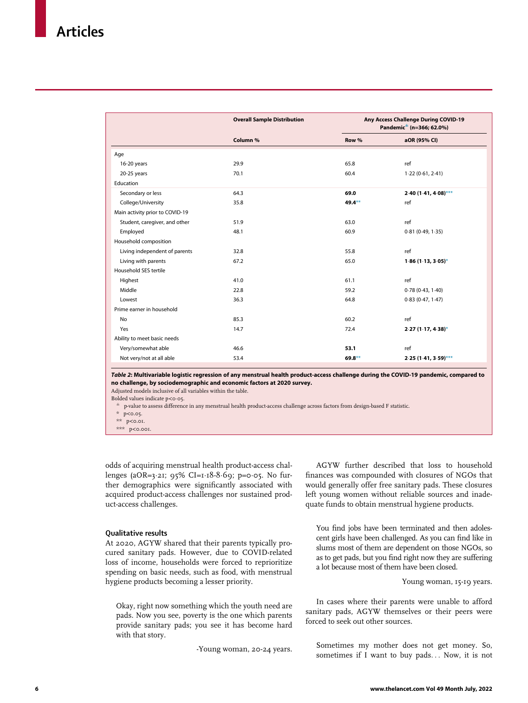<span id="page-5-0"></span>

|                                 | <b>Overall Sample Distribution</b> | Any Access Challenge During COVID-19<br>Pandemic <sup><math>\pm</math></sup> (n=366; 62.0%) |                        |
|---------------------------------|------------------------------------|---------------------------------------------------------------------------------------------|------------------------|
|                                 | Column %                           | Row %                                                                                       | aOR (95% CI)           |
| Age                             |                                    |                                                                                             |                        |
| 16-20 years                     | 29.9                               | 65.8                                                                                        | ref                    |
| 20-25 years                     | 70.1                               | 60.4                                                                                        | 1.22(0.61, 2.41)       |
| Education                       |                                    |                                                                                             |                        |
| Secondary or less               | 64.3                               | 69.0                                                                                        | $2.40(1.41, 4.08)$ *** |
| College/University              | 35.8                               | 49.4**                                                                                      | ref                    |
| Main activity prior to COVID-19 |                                    |                                                                                             |                        |
| Student, caregiver, and other   | 51.9                               | 63.0                                                                                        | ref                    |
| Employed                        | 48.1                               | 60.9                                                                                        | 0.81(0.49, 1.35)       |
| Household composition           |                                    |                                                                                             |                        |
| Living independent of parents   | 32.8                               | 55.8                                                                                        | ref                    |
| Living with parents             | 67.2                               | 65.0                                                                                        | $1.86$ (1.13, 3.05)*   |
| Household SES tertile           |                                    |                                                                                             |                        |
| Highest                         | 41.0                               | 61.1                                                                                        | ref                    |
| Middle                          | 22.8                               | 59.2                                                                                        | 0.78(0.43, 1.40)       |
| Lowest                          | 36.3                               | 64.8                                                                                        | 0.83(0.47, 1.47)       |
| Prime earner in household       |                                    |                                                                                             |                        |
| No                              | 85.3                               | 60.2                                                                                        | ref                    |
| Yes                             | 14.7                               | 72.4                                                                                        | $2.27(1.17, 4.38)^*$   |
| Ability to meet basic needs     |                                    |                                                                                             |                        |
| Very/somewhat able              | 46.6                               | 53.1                                                                                        | ref                    |
| Not very/not at all able        | 53.4                               | $69.8**$                                                                                    | $2.25(1.41, 3.59)$ *** |

Table 2: Multivariable logistic regression of any menstrual health product-access challenge during the COVID-19 pandemic, compared to no challenge, by sociodemographic and economic factors at 2020 survey.

<span id="page-5-3"></span><span id="page-5-2"></span>Adjusted models inclusive of all variables within the table. Bolded values indicate  $p < 0.05$ .

 $^\pm~$  p-value to assess difference in any menstrual health product-access challenge across factors from design-based F statistic.

- $*$  p<0.05.
- \*\* p<0.01.

\*\*\* p<0.001.

<span id="page-5-1"></span>odds of acquiring menstrual health product-access challenges (aOR=3.21; 95% CI=1.18-8.69; p=0.05. No further demographics were significantly associated with acquired product-access challenges nor sustained product-access challenges.

## Qualitative results

At 2020, AGYW shared that their parents typically procured sanitary pads. However, due to COVID-related loss of income, households were forced to reprioritize spending on basic needs, such as food, with menstrual hygiene products becoming a lesser priority.

Okay, right now something which the youth need are pads. Now you see, poverty is the one which parents provide sanitary pads; you see it has become hard with that story.

-Young woman, 20-24 years.

AGYW further described that loss to household finances was compounded with closures of NGOs that would generally offer free sanitary pads. These closures left young women without reliable sources and inadequate funds to obtain menstrual hygiene products.

You find jobs have been terminated and then adolescent girls have been challenged. As you can find like in slums most of them are dependent on those NGOs, so as to get pads, but you find right now they are suffering a lot because most of them have been closed.

Young woman, 15-19 years.

In cases where their parents were unable to afford sanitary pads, AGYW themselves or their peers were forced to seek out other sources.

Sometimes my mother does not get money. So, sometimes if I want to buy pads... Now, it is not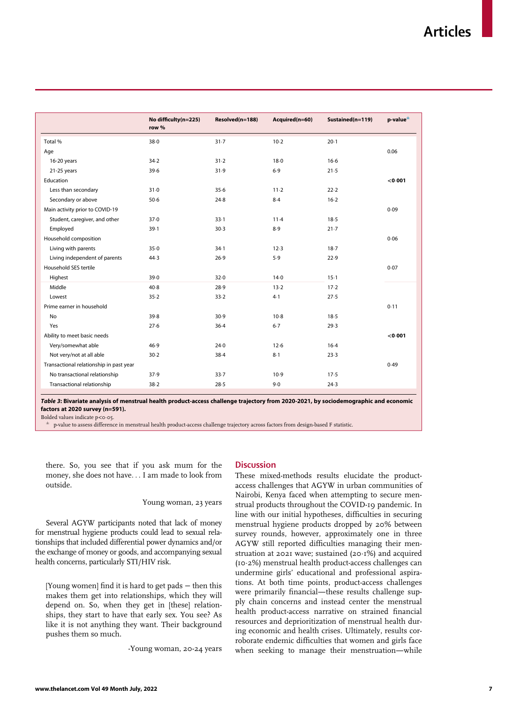<span id="page-6-0"></span>

|                                         |                               |                 | Acquired(n=60) | Sustained(n=119) | $p$ -value $^{\pm}$ |
|-----------------------------------------|-------------------------------|-----------------|----------------|------------------|---------------------|
|                                         | No difficulty(n=225)<br>row % | Resolved(n=188) |                |                  |                     |
| Total %                                 | $38 - 0$                      | 31.7            | $10-2$         | $20-1$           |                     |
| Age                                     |                               |                 |                |                  | 0.06                |
| 16-20 years                             | 34.2                          | $31 - 2$        | 18.0           | $16-6$           |                     |
| 21-25 years                             | 39.6                          | 31.9            | 6.9            | 21.5             |                     |
| Education                               |                               |                 |                |                  | $<$ 0 $\cdot$ 001   |
| Less than secondary                     | 31.0                          | 35.6            | $11-2$         | 22.2             |                     |
| Secondary or above                      | 50.6                          | 24.8            | 8.4            | $16-2$           |                     |
| Main activity prior to COVID-19         |                               |                 |                |                  | 0.09                |
| Student, caregiver, and other           | 37.0                          | $33-1$          | 11.4           | 18.5             |                     |
| Employed                                | 39.1                          | 30.3            | 8.9            | $21 - 7$         |                     |
| Household composition                   |                               |                 |                |                  | 0.06                |
| Living with parents                     | 35.0                          | $34-1$          | 12.3           | 18.7             |                     |
| Living independent of parents           | 44.3                          | 26.9            | 5.9            | 22.9             |                     |
| Household SES tertile                   |                               |                 |                |                  | 0.07                |
| Highest                                 | 39.0                          | 32.0            | 14.0           | $15-1$           |                     |
| Middle                                  | 40.8                          | 28.9            | 13.2           | 17.2             |                     |
| Lowest                                  | 35.2                          | 33.2            | 4.1            | 27.5             |                     |
| Prime earner in household               |                               |                 |                |                  | 0.11                |
| No                                      | 39.8                          | 30.9            | $10-8$         | 18.5             |                     |
| Yes                                     | 27.6                          | $36-4$          | $6-7$          | 29.3             |                     |
| Ability to meet basic needs             |                               |                 |                |                  | $<$ 0 $\cdot$ 001   |
| Very/somewhat able                      | 46.9                          | 24.0            | 12.6           | $16-4$           |                     |
| Not very/not at all able                | 30.2                          | 38.4            | 8.1            | 23.3             |                     |
| Transactional relationship in past year |                               |                 |                |                  | 0.49                |
| No transactional relationship           | 37.9                          | 33.7            | 10.9           | 17.5             |                     |
| Transactional relationship              | 38.2                          | 28.5            | 9.0            | 24.3             |                     |

Table 3: Bivariate analysis of menstrual health product-access challenge trajectory from 2020-2021, by sociodemographic and economic factors at 2020 survey (n=591).

Bolded values indicate  $p < 0.05$ .

§ p-value to assess difference in menstrual health product-access challenge trajectory across factors from design-based F statistic.

there. So, you see that if you ask mum for the money, she does not have... I am made to look from outside.

Young woman, 23 years

Several AGYW participants noted that lack of money for menstrual hygiene products could lead to sexual relationships that included differential power dynamics and/or the exchange of money or goods, and accompanying sexual health concerns, particularly STI/HIV risk.

[Young women] find it is hard to get pads − then this makes them get into relationships, which they will depend on. So, when they get in [these] relationships, they start to have that early sex. You see? As like it is not anything they want. Their background pushes them so much.

-Young woman, 20-24 years

## **Discussion**

These mixed-methods results elucidate the productaccess challenges that AGYW in urban communities of Nairobi, Kenya faced when attempting to secure menstrual products throughout the COVID-19 pandemic. In line with our initial hypotheses, difficulties in securing menstrual hygiene products dropped by 20% between survey rounds, however, approximately one in three AGYW still reported difficulties managing their menstruation at 2021 wave; sustained (20·1%) and acquired (10¢2%) menstrual health product-access challenges can undermine girls' educational and professional aspirations. At both time points, product-access challenges were primarily financial—these results challenge supply chain concerns and instead center the menstrual health product-access narrative on strained financial resources and deprioritization of menstrual health during economic and health crises. Ultimately, results corroborate endemic difficulties that women and girls face when seeking to manage their menstruation—while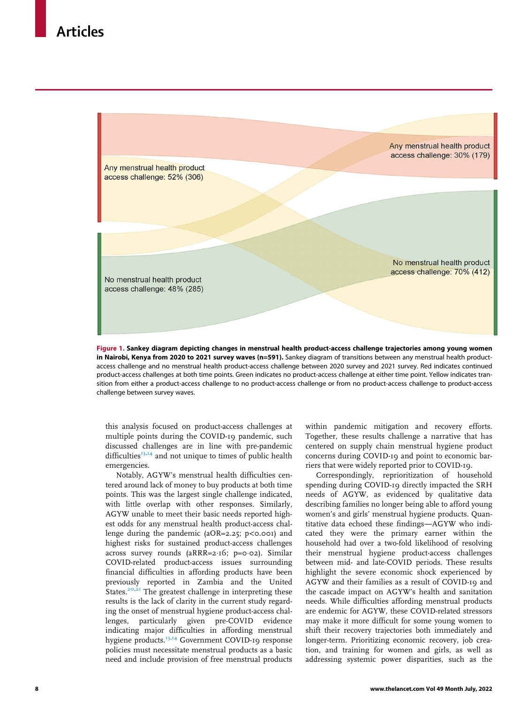<span id="page-7-0"></span>

Figure 1. Sankey diagram depicting changes in menstrual health product-access challenge trajectories among young women in Nairobi, Kenya from 2020 to 2021 survey waves (n=591). Sankey diagram of transitions between any menstrual health productaccess challenge and no menstrual health product-access challenge between 2020 survey and 2021 survey. Red indicates continued product-access challenges at both time points. Green indicates no product-access challenge at either time point. Yellow indicates transition from either a product-access challenge to no product-access challenge or from no product-access challenge to product-access challenge between survey waves.

this analysis focused on product-access challenges at multiple points during the COVID-19 pandemic, such discussed challenges are in line with pre-pandemic difficulties<sup>[13](#page-10-10)[,14](#page-10-11)</sup> and not unique to times of public health emergencies.

Notably, AGYW's menstrual health difficulties centered around lack of money to buy products at both time points. This was the largest single challenge indicated, with little overlap with other responses. Similarly, AGYW unable to meet their basic needs reported highest odds for any menstrual health product-access challenge during the pandemic (aOR=2.25;  $p$ <0.001) and highest risks for sustained product-access challenges across survey rounds ( $aRRR=2.16$ ; p=0.02). Similar COVID-related product-access issues surrounding financial difficulties in affording products have been previously reported in Zambia and the United States.<sup>[20](#page-10-17)[,21](#page-10-18)</sup> The greatest challenge in interpreting these results is the lack of clarity in the current study regarding the onset of menstrual hygiene product-access challenges, particularly given pre-COVID evidence indicating major difficulties in affording menstrual hygiene products.<sup>[13](#page-10-10),[14](#page-10-11)</sup> Government COVID-19 response policies must necessitate menstrual products as a basic need and include provision of free menstrual products

within pandemic mitigation and recovery efforts. Together, these results challenge a narrative that has centered on supply chain menstrual hygiene product concerns during COVID-19 and point to economic barriers that were widely reported prior to COVID-19.

Correspondingly, reprioritization of household spending during COVID-19 directly impacted the SRH needs of AGYW, as evidenced by qualitative data describing families no longer being able to afford young women's and girls' menstrual hygiene products. Quantitative data echoed these findings—AGYW who indicated they were the primary earner within the household had over a two-fold likelihood of resolving their menstrual hygiene product-access challenges between mid- and late-COVID periods. These results highlight the severe economic shock experienced by AGYW and their families as a result of COVID-19 and the cascade impact on AGYW's health and sanitation needs. While difficulties affording menstrual products are endemic for AGYW, these COVID-related stressors may make it more difficult for some young women to shift their recovery trajectories both immediately and longer-term. Prioritizing economic recovery, job creation, and training for women and girls, as well as addressing systemic power disparities, such as the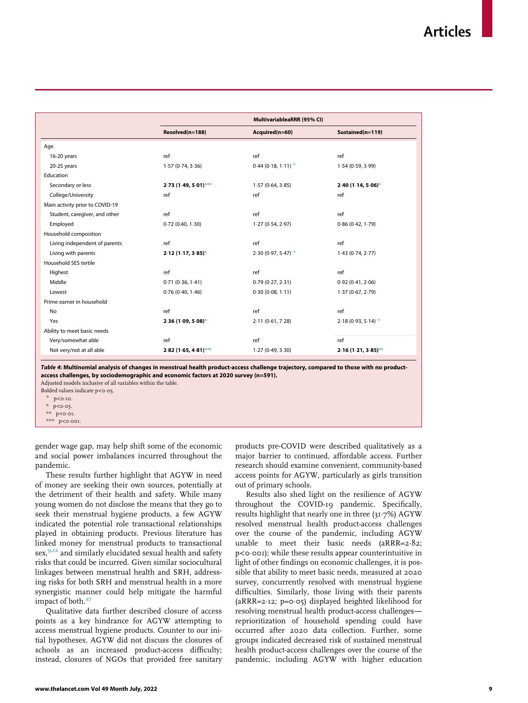<span id="page-8-0"></span>

| MultivariableaRRR (95% CI)<br>Resolved(n=188)<br>Acquired(n=60)<br>Sustained(n=119)<br>Age<br>ref<br>ref<br>ref<br>16-20 years<br>$0.44(0.18, 1.11)^{\pm}$<br>$20-25$ years<br>1.57(0.74, 3.36)<br>1.54(0.59, 3.99)<br>Education<br>Secondary or less<br>$2.73(1.49, 5.01)$ ***<br>1.57(0.64, 3.85)<br>$2.40(1.14, 5.06)$ *<br>College/University<br>ref<br>ref<br>ref<br>Main activity prior to COVID-19<br>ref<br>Student, caregiver, and other<br>ref<br>ref<br>Employed<br>0.72(0.40, 1.30)<br>1.27(0.54, 2.97)<br>0.86(0.42, 1.79)<br>Household composition<br>ref<br>ref<br>Living independent of parents<br>ref<br>$2.30(0.97, 5.47)^{+}$<br>Living with parents<br>1.43(0.74, 2.77)<br>$2.12(1.17, 3.85)^{*}$<br>Household SES tertile<br>ref<br>ref<br>ref<br>Highest<br>Middle<br>0.71(0.36, 1.41)<br>0.79(0.27, 2.31)<br>0.92(0.41, 2.06)<br>0.76(0.40, 1.46)<br>0.30(0.08, 1.11)<br>Lowest<br>1.37(0.67, 2.79)<br>Prime earner in household<br>ref<br>ref<br>No<br>ref<br>$2.18(0.93, 5.14)$ <sup>±</sup><br>Yes<br>$2.36(1.09, 5.08)$ *<br>2.11(0.61, 7.28)<br>Ability to meet basic needs<br>Very/somewhat able<br>ref<br>ref<br>ref |  |  |  |
|----------------------------------------------------------------------------------------------------------------------------------------------------------------------------------------------------------------------------------------------------------------------------------------------------------------------------------------------------------------------------------------------------------------------------------------------------------------------------------------------------------------------------------------------------------------------------------------------------------------------------------------------------------------------------------------------------------------------------------------------------------------------------------------------------------------------------------------------------------------------------------------------------------------------------------------------------------------------------------------------------------------------------------------------------------------------------------------------------------------------------------------------------|--|--|--|
|                                                                                                                                                                                                                                                                                                                                                                                                                                                                                                                                                                                                                                                                                                                                                                                                                                                                                                                                                                                                                                                                                                                                                    |  |  |  |
|                                                                                                                                                                                                                                                                                                                                                                                                                                                                                                                                                                                                                                                                                                                                                                                                                                                                                                                                                                                                                                                                                                                                                    |  |  |  |
|                                                                                                                                                                                                                                                                                                                                                                                                                                                                                                                                                                                                                                                                                                                                                                                                                                                                                                                                                                                                                                                                                                                                                    |  |  |  |
|                                                                                                                                                                                                                                                                                                                                                                                                                                                                                                                                                                                                                                                                                                                                                                                                                                                                                                                                                                                                                                                                                                                                                    |  |  |  |
|                                                                                                                                                                                                                                                                                                                                                                                                                                                                                                                                                                                                                                                                                                                                                                                                                                                                                                                                                                                                                                                                                                                                                    |  |  |  |
|                                                                                                                                                                                                                                                                                                                                                                                                                                                                                                                                                                                                                                                                                                                                                                                                                                                                                                                                                                                                                                                                                                                                                    |  |  |  |
|                                                                                                                                                                                                                                                                                                                                                                                                                                                                                                                                                                                                                                                                                                                                                                                                                                                                                                                                                                                                                                                                                                                                                    |  |  |  |
|                                                                                                                                                                                                                                                                                                                                                                                                                                                                                                                                                                                                                                                                                                                                                                                                                                                                                                                                                                                                                                                                                                                                                    |  |  |  |
|                                                                                                                                                                                                                                                                                                                                                                                                                                                                                                                                                                                                                                                                                                                                                                                                                                                                                                                                                                                                                                                                                                                                                    |  |  |  |
|                                                                                                                                                                                                                                                                                                                                                                                                                                                                                                                                                                                                                                                                                                                                                                                                                                                                                                                                                                                                                                                                                                                                                    |  |  |  |
|                                                                                                                                                                                                                                                                                                                                                                                                                                                                                                                                                                                                                                                                                                                                                                                                                                                                                                                                                                                                                                                                                                                                                    |  |  |  |
|                                                                                                                                                                                                                                                                                                                                                                                                                                                                                                                                                                                                                                                                                                                                                                                                                                                                                                                                                                                                                                                                                                                                                    |  |  |  |
|                                                                                                                                                                                                                                                                                                                                                                                                                                                                                                                                                                                                                                                                                                                                                                                                                                                                                                                                                                                                                                                                                                                                                    |  |  |  |
|                                                                                                                                                                                                                                                                                                                                                                                                                                                                                                                                                                                                                                                                                                                                                                                                                                                                                                                                                                                                                                                                                                                                                    |  |  |  |
|                                                                                                                                                                                                                                                                                                                                                                                                                                                                                                                                                                                                                                                                                                                                                                                                                                                                                                                                                                                                                                                                                                                                                    |  |  |  |
|                                                                                                                                                                                                                                                                                                                                                                                                                                                                                                                                                                                                                                                                                                                                                                                                                                                                                                                                                                                                                                                                                                                                                    |  |  |  |
|                                                                                                                                                                                                                                                                                                                                                                                                                                                                                                                                                                                                                                                                                                                                                                                                                                                                                                                                                                                                                                                                                                                                                    |  |  |  |
|                                                                                                                                                                                                                                                                                                                                                                                                                                                                                                                                                                                                                                                                                                                                                                                                                                                                                                                                                                                                                                                                                                                                                    |  |  |  |
|                                                                                                                                                                                                                                                                                                                                                                                                                                                                                                                                                                                                                                                                                                                                                                                                                                                                                                                                                                                                                                                                                                                                                    |  |  |  |
|                                                                                                                                                                                                                                                                                                                                                                                                                                                                                                                                                                                                                                                                                                                                                                                                                                                                                                                                                                                                                                                                                                                                                    |  |  |  |
|                                                                                                                                                                                                                                                                                                                                                                                                                                                                                                                                                                                                                                                                                                                                                                                                                                                                                                                                                                                                                                                                                                                                                    |  |  |  |
|                                                                                                                                                                                                                                                                                                                                                                                                                                                                                                                                                                                                                                                                                                                                                                                                                                                                                                                                                                                                                                                                                                                                                    |  |  |  |
|                                                                                                                                                                                                                                                                                                                                                                                                                                                                                                                                                                                                                                                                                                                                                                                                                                                                                                                                                                                                                                                                                                                                                    |  |  |  |
| Not very/not at all able<br>$2.82$ (1.65, 4.81)***<br>1.27(0.49, 3.30)<br>$2.16(1.21, 3.85)$ **                                                                                                                                                                                                                                                                                                                                                                                                                                                                                                                                                                                                                                                                                                                                                                                                                                                                                                                                                                                                                                                    |  |  |  |

Table 4: Multinomial analysis of changes in menstrual health product-access challenge trajectory, compared to those with no productaccess challenges, by sociodemographic and economic factors at 2020 survey (n=591).

Adjusted models inclusive of all variables within the table. Bolded values indicate  $p < 0.05$ .

<span id="page-8-3"></span><span id="page-8-2"></span>

 $p < 0.10$ .

<span id="page-8-1"></span> $p < 0.05$ .

\*\*  $p$ <o $\cdot$ o1.

\*\*\* p<0.001.

gender wage gap, may help shift some of the economic and social power imbalances incurred throughout the pandemic.

These results further highlight that AGYW in need of money are seeking their own sources, potentially at the detriment of their health and safety. While many young women do not disclose the means that they go to seek their menstrual hygiene products, a few AGYW indicated the potential role transactional relationships played in obtaining products. Previous literature has linked money for menstrual products to transactional sex,<sup>[9,](#page-10-6)[12](#page-10-9)</sup> and similarly elucidated sexual health and safety risks that could be incurred. Given similar sociocultural linkages between menstrual health and SRH, addressing risks for both SRH and menstrual health in a more synergistic manner could help mitigate the harmful impact of both. $27$ 

Qualitative data further described closure of access points as a key hindrance for AGYW attempting to access menstrual hygiene products. Counter to our initial hypotheses, AGYW did not discuss the closures of schools as an increased product-access difficulty; instead, closures of NGOs that provided free sanitary products pre-COVID were described qualitatively as a major barrier to continued, affordable access. Further research should examine convenient, community-based access points for AGYW, particularly as girls transition out of primary schools.

Results also shed light on the resilience of AGYW throughout the COVID-19 pandemic. Specifically, results highlight that nearly one in three (31.7%) AGYW resolved menstrual health product-access challenges over the course of the pandemic, including AGYW unable to meet their basic needs (aRRR=2 $\cdot$ 82; p<0 $\cdot$ 001); while these results appear counterintuitive in light of other findings on economic challenges, it is possible that ability to meet basic needs, measured at 2020 survey, concurrently resolved with menstrual hygiene difficulties. Similarly, those living with their parents (aRRR=2 $\cdot$ 12; p=0 $\cdot$ 05) displayed heighted likelihood for resolving menstrual health product-access challenges reprioritization of household spending could have occurred after 2020 data collection. Further, some groups indicated decreased risk of sustained menstrual health product-access challenges over the course of the pandemic, including AGYW with higher education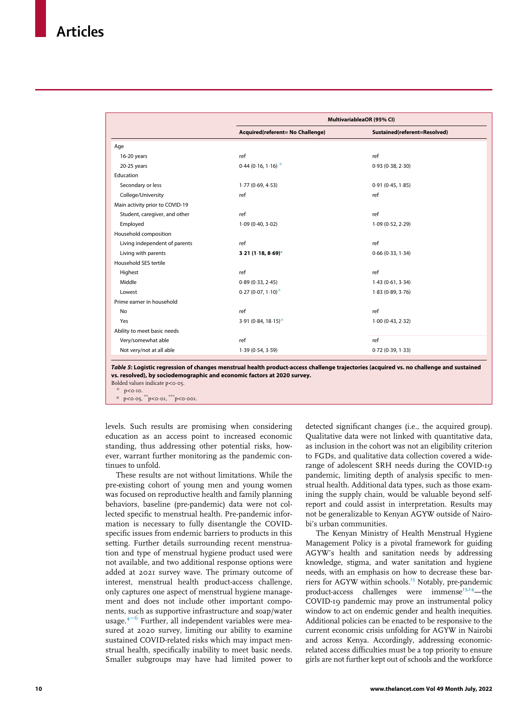<span id="page-9-0"></span>

|                                 | MultivariableaOR (95% CI)                      |                              |
|---------------------------------|------------------------------------------------|------------------------------|
|                                 | Acquired(referent= No Challenge)               | Sustained(referent=Resolved) |
| Age                             |                                                |                              |
| 16-20 years                     | ref                                            | ref                          |
| 20-25 years                     | $0.44(0.16, 1.16)^{1}$                         | 0.93(0.38, 2.30)             |
| Education                       |                                                |                              |
| Secondary or less               | 1.77(0.69, 4.53)                               | 0.91(0.45, 1.85)             |
| College/University              | ref                                            | ref                          |
| Main activity prior to COVID-19 |                                                |                              |
| Student, caregiver, and other   | ref                                            | ref                          |
| Employed                        | 1.09(0.40, 3.02)                               | 1.09(0.52, 2.29)             |
| Household composition           |                                                |                              |
| Living independent of parents   | ref                                            | ref                          |
| Living with parents             | $3.21(1.18, 8.69)$ *                           | 0.66(0.33, 1.34)             |
| Household SES tertile           |                                                |                              |
| Highest                         | ref                                            | ref                          |
| Middle                          | 0.89(0.33, 2.45)                               | 1.43(0.61, 3.34)             |
| Lowest                          | $0.27(0.07, 1.10)^{\pm}$                       | 1.83(0.89, 3.76)             |
| Prime earner in household       |                                                |                              |
| No                              | ref                                            | ref                          |
| Yes                             | 3.91 (0.84, 18.15) <sup><math>\pm</math></sup> | 1.00(0.43, 2.32)             |
| Ability to meet basic needs     |                                                |                              |
| Very/somewhat able              | ref                                            | ref                          |
| Not very/not at all able        | 1.39(0.54, 3.59)                               | 0.72(0.39, 1.33)             |

Table 5: Logistic regression of changes menstrual health product-access challenge trajectories (acquired vs. no challenge and sustained vs. resolved), by sociodemographic and economic factors at 2020 survey.

<span id="page-9-1"></span>Bolded values indicate  $p < 0.05$ .

 $\stackrel{\pm}{\phantom{}_{\sim}} p < 0.10$ .

 $p$ <0 $\cdot$ 05,  $*$ \* $p$ <0 $\cdot$ 01,  $*$  $*$  $p$ <0 $\cdot$ 001.

levels. Such results are promising when considering education as an access point to increased economic standing, thus addressing other potential risks, however, warrant further monitoring as the pandemic continues to unfold.

These results are not without limitations. While the pre-existing cohort of young men and young women was focused on reproductive health and family planning behaviors, baseline (pre-pandemic) data were not collected specific to menstrual health. Pre-pandemic information is necessary to fully disentangle the COVIDspecific issues from endemic barriers to products in this setting. Further details surrounding recent menstruation and type of menstrual hygiene product used were not available, and two additional response options were added at 2021 survey wave. The primary outcome of interest, menstrual health product-access challenge, only captures one aspect of menstrual hygiene management and does not include other important components, such as supportive infrastructure and soap/water usage. $4^{-6}$  Further, all independent variables were measured at 2020 survey, limiting our ability to examine sustained COVID-related risks which may impact menstrual health, specifically inability to meet basic needs. Smaller subgroups may have had limited power to

detected significant changes (i.e., the acquired group). Qualitative data were not linked with quantitative data, as inclusion in the cohort was not an eligibility criterion to FGDs, and qualitative data collection covered a widerange of adolescent SRH needs during the COVID-19 pandemic, limiting depth of analysis specific to menstrual health. Additional data types, such as those examining the supply chain, would be valuable beyond selfreport and could assist in interpretation. Results may not be generalizable to Kenyan AGYW outside of Nairobi's urban communities.

The Kenyan Ministry of Health Menstrual Hygiene Management Policy is a pivotal framework for guiding AGYW's health and sanitation needs by addressing knowledge, stigma, and water sanitation and hygiene needs, with an emphasis on how to decrease these barriers for AGYW within schools.<sup>13</sup> Notably, pre-pandemic product-access challenges were immense<sup>[13](#page-10-10),[14](#page-10-11)</sup>—the COVID-19 pandemic may prove an instrumental policy window to act on endemic gender and health inequities. Additional policies can be enacted to be responsive to the current economic crisis unfolding for AGYW in Nairobi and across Kenya. Accordingly, addressing economicrelated access difficulties must be a top priority to ensure girls are not further kept out of schools and the workforce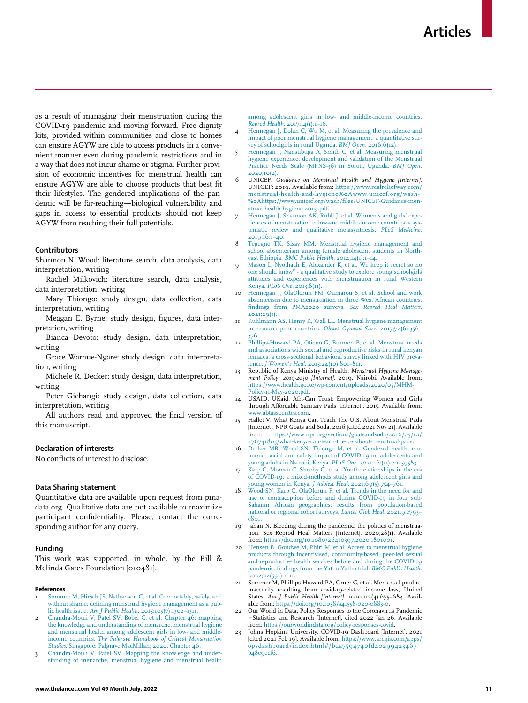<span id="page-10-3"></span>as a result of managing their menstruation during the COVID-19 pandemic and moving forward. Free dignity kits, provided within communities and close to homes can ensure AGYW are able to access products in a convenient manner even during pandemic restrictions and in a way that does not incur shame or stigma. Further provision of economic incentives for menstrual health can ensure AGYW are able to choose products that best fit their lifestyles. The gendered implications of the pandemic will be far-reaching—biological vulnerability and gaps in access to essential products should not keep AGYW from reaching their full potentials.

#### <span id="page-10-5"></span><span id="page-10-4"></span>Contributors

<span id="page-10-6"></span>Shannon N. Wood: literature search, data analysis, data interpretation, writing

Rachel Milkovich: literature search, data analysis, data interpretation, writing

<span id="page-10-7"></span>Mary Thiongo: study design, data collection, data interpretation, writing

<span id="page-10-8"></span>Meagan E. Byrne: study design, figures, data interpretation, writing

<span id="page-10-9"></span>Bianca Devoto: study design, data interpretation, writing

Grace Wamue-Ngare: study design, data interpretation, writing

<span id="page-10-10"></span>Michele R. Decker: study design, data interpretation, writing

<span id="page-10-11"></span>Peter Gichangi: study design, data collection, data interpretation, writing

<span id="page-10-12"></span>All authors read and approved the final version of this manuscript.

### <span id="page-10-13"></span>Declaration of interests

No conflicts of interest to disclose.

### Data Sharing statement

Quantitative data are available upon request from pmadata.org. Qualitative data are not available to maximize participant confidentiality. Please, contact the corresponding author for any query.

#### <span id="page-10-17"></span><span id="page-10-14"></span>Funding

This work was supported, in whole, by the Bill & Melinda Gates Foundation [010481].

#### <span id="page-10-18"></span><span id="page-10-0"></span>References

- [Sommer M, Hirsch JS, Nathanson C, et al. Comfortably, safely, and](http://refhub.elsevier.com/S2589-5370(22)00212-7/sbref0001) [without shame: defining menstrual hygiene management as a pub](http://refhub.elsevier.com/S2589-5370(22)00212-7/sbref0001)lic health issue. Am J Public Health[. 2015;105\(7\):1302–1311.](http://refhub.elsevier.com/S2589-5370(22)00212-7/sbref0001)
- <span id="page-10-16"></span><span id="page-10-15"></span><span id="page-10-1"></span>2 [Chandra-Mouli V, Patel SV, Bobel C, et al. Chapter 46: mapping](http://refhub.elsevier.com/S2589-5370(22)00212-7/sbref0002) [the knowledge and understanding of menarche, menstrual hygiene](http://refhub.elsevier.com/S2589-5370(22)00212-7/sbref0002) [and menstrual health among adolescent girls in low- and middle](http://refhub.elsevier.com/S2589-5370(22)00212-7/sbref0002)income countries. [The Palgrave Handbook of Critical Menstruation](http://refhub.elsevier.com/S2589-5370(22)00212-7/sbref0002) Studies[. Singapore: Palgrave MacMillan; 2020. Chapter 46.](http://refhub.elsevier.com/S2589-5370(22)00212-7/sbref0002)
- <span id="page-10-2"></span>[Chandra-Mouli V, Patel SV. Mapping the knowledge and under](http://refhub.elsevier.com/S2589-5370(22)00212-7/sbref0003)[standing of menarche, menstrual hygiene and menstrual health](http://refhub.elsevier.com/S2589-5370(22)00212-7/sbref0003)

[among adolescent girls in low- and middle-income countries.](http://refhub.elsevier.com/S2589-5370(22)00212-7/sbref0003) Reprod Health[. 2017;14\(1\):1–16.](http://refhub.elsevier.com/S2589-5370(22)00212-7/sbref0003)

- 4 [Hennegan J, Dolan C, Wu M, et al. Measuring the prevalence and](http://refhub.elsevier.com/S2589-5370(22)00212-7/sbref0004) [impact of poor menstrual hygiene management: a quantitative sur](http://refhub.elsevier.com/S2589-5370(22)00212-7/sbref0004)[vey of schoolgirls in rural Uganda.](http://refhub.elsevier.com/S2589-5370(22)00212-7/sbref0004) BMJ Open. 2016;6(12).
- 5 [Hennegan J, Nansubuga A, Smith C, et al. Measuring menstrual](http://refhub.elsevier.com/S2589-5370(22)00212-7/sbref0005) [hygiene experience: development and validation of the Menstrual](http://refhub.elsevier.com/S2589-5370(22)00212-7/sbref0005) [Practice Needs Scale \(MPNS-36\) in Soroti, Uganda.](http://refhub.elsevier.com/S2589-5370(22)00212-7/sbref0005) BMJ Open. [2020;10\(2\).](http://refhub.elsevier.com/S2589-5370(22)00212-7/sbref0005)
- 6 UNICEF. Guidance on Menstrual Health and Hygiene [Internet]. UNICEF; 2019. Available from: [https://www.realreliefway.com/](https://www.realreliefway.com/menstrual-health-and-hygiene%0Awww.unicef.org/wash%0Ahttps://www.unicef.org/wash/files/UNICEF-Guidance-menstrual-health-hygiene-2019.pdf) [menstrual-health-and-hygiene%0Awww.unicef.org/wash-](https://www.realreliefway.com/menstrual-health-and-hygiene%0Awww.unicef.org/wash%0Ahttps://www.unicef.org/wash/files/UNICEF-Guidance-menstrual-health-hygiene-2019.pdf) %[0Ahttps://www.unicef.org/wash/files/UNICEF-Guidance-men](https://www.realreliefway.com/menstrual-health-and-hygiene%0Awww.unicef.org/wash%0Ahttps://www.unicef.org/wash/files/UNICEF-Guidance-menstrual-health-hygiene-2019.pdf)[strual-health-hygiene-2019.pdf](https://www.realreliefway.com/menstrual-health-and-hygiene%0Awww.unicef.org/wash%0Ahttps://www.unicef.org/wash/files/UNICEF-Guidance-menstrual-health-hygiene-2019.pdf).
- [Hennegan J, Shannon AK, Rubli J, et al. Women's and girls' expe](http://refhub.elsevier.com/S2589-5370(22)00212-7/sbref0007)[riences of menstruation in low-and middle-income countries: a sys](http://refhub.elsevier.com/S2589-5370(22)00212-7/sbref0007)[tematic review and qualitative metasynthesis.](http://refhub.elsevier.com/S2589-5370(22)00212-7/sbref0007) PLoS Medicine. [2019;16:1–40.](http://refhub.elsevier.com/S2589-5370(22)00212-7/sbref0007)
- 8 [Tegegne TK, Sisay MM. Menstrual hygiene management and](http://refhub.elsevier.com/S2589-5370(22)00212-7/sbref0008) [school absenteeism among female adolescent students in North](http://refhub.elsevier.com/S2589-5370(22)00212-7/sbref0008)east Ethiopia. [BMC Public Health](http://refhub.elsevier.com/S2589-5370(22)00212-7/sbref0008). 2014;14(1):1–14.
- [Mason L, Nyothach E, Alexander K, et al. We keep it secret so no](http://refhub.elsevier.com/S2589-5370(22)00212-7/sbref0009) [one should know" - a qualitative study to explore young schoolgirls](http://refhub.elsevier.com/S2589-5370(22)00212-7/sbref0009) [attitudes and experiences with menstruation in rural Western](http://refhub.elsevier.com/S2589-5370(22)00212-7/sbref0009) Kenya. PLoS One[. 2013;8\(11\).](http://refhub.elsevier.com/S2589-5370(22)00212-7/sbref0009)
- 10 [Hennegan J, OlaOlorun FM, Oumarou S, et al. School and work](http://refhub.elsevier.com/S2589-5370(22)00212-7/sbref0010) [absenteeism due to menstruation in three West African countries:](http://refhub.elsevier.com/S2589-5370(22)00212-7/sbref0010) [findings from PMA2020 surveys.](http://refhub.elsevier.com/S2589-5370(22)00212-7/sbref0010) Sex Reprod Heal Matters. [2021;29\(1\).](http://refhub.elsevier.com/S2589-5370(22)00212-7/sbref0010)
- 11 [Kuhlmann AS, Henry K, Wall LL. Menstrual hygiene management](http://refhub.elsevier.com/S2589-5370(22)00212-7/sbref0011) [in resource-poor countries.](http://refhub.elsevier.com/S2589-5370(22)00212-7/sbref0011) Obstet Gynecol Surv. 2017;72(6):356– [376.](http://refhub.elsevier.com/S2589-5370(22)00212-7/sbref0011)
- 12 [Phillips-Howard PA, Otieno G, Burmen B, et al. Menstrual needs](http://refhub.elsevier.com/S2589-5370(22)00212-7/sbref0012) [and associations with sexual and reproductive risks in rural kenyan](http://refhub.elsevier.com/S2589-5370(22)00212-7/sbref0012) [females: a cross-sectional behavioral survey linked with HIV preva-](http://refhub.elsevier.com/S2589-5370(22)00212-7/sbref0012)lence. [J Women'](http://refhub.elsevier.com/S2589-5370(22)00212-7/sbref0012)s Heal. 2015;24(10):801-811.
- 13 Republic of Kenya Ministry of Health. Menstrual Hygiene Manage-ment Policy: 2019-2030 [Internet]. 2019. Nairobi. Available from: [https://www.health.go.ke/wp-content/uploads/2020/05/MHM-](https://www.health.go.ke/wp-content/uploads/2020/05/MHM-Policy-11-May-2020.pdf)[Policy-11-May-2020.pdf](https://www.health.go.ke/wp-content/uploads/2020/05/MHM-Policy-11-May-2020.pdf).
- 14 USAID, UKaid. Afri-Can Trust: Empowering Women and Girls through Affordable Sanitary Pads [Internet]. 2015. Available from: [www.abtassociates.com.](http://www.abtassociates.com)
- 15 Hallet V. What Kenya Can Teach The U.S. About Menstrual Pads [Internet]. NPR Goats and Soda. 2016 [cited 2021 Nov 21]. Available [https://www.npr.org/sections/goatsandsoda/2016/05/10/](https://www.npr.org/sections/goatsandsoda/2016/05/10/476741805/what-kenya-can-teach-the-u-s-about-menstrual-pads) [476741805/what-kenya-can-teach-the-u-s-about-menstrual-pads.](https://www.npr.org/sections/goatsandsoda/2016/05/10/476741805/what-kenya-can-teach-the-u-s-about-menstrual-pads)
- 16 [Decker MR, Wood SN, Thiongo M, et al. Gendered health, eco-](http://refhub.elsevier.com/S2589-5370(22)00212-7/sbref0016)[nomic, social and safety impact of COVID-19 on adolescents and](http://refhub.elsevier.com/S2589-5370(22)00212-7/sbref0016) [young adults in Nairobi, Kenya.](http://refhub.elsevier.com/S2589-5370(22)00212-7/sbref0016) PLoS One. 2021;16:(11) e0259583.
- 17 [Karp C, Moreau C, Sheehy G, et al. Youth relationships in the era](http://refhub.elsevier.com/S2589-5370(22)00212-7/sbref0017) [of COVID-19: a mixed-methods study among adolescent girls and](http://refhub.elsevier.com/S2589-5370(22)00212-7/sbref0017)
- [young women in Kenya.](http://refhub.elsevier.com/S2589-5370(22)00212-7/sbref0017) J Adolesc Heal. 2021;69(5):754–761. 18 [Wood SN, Karp C, OlaOlorun F, et al. Trends in the need for and](http://refhub.elsevier.com/S2589-5370(22)00212-7/sbref0018) [use of contraception before and during COVID-19 in four sub-](http://refhub.elsevier.com/S2589-5370(22)00212-7/sbref0018)[Saharan African geographies: results from population-based](http://refhub.elsevier.com/S2589-5370(22)00212-7/sbref0018) [national or regional cohort surveys.](http://refhub.elsevier.com/S2589-5370(22)00212-7/sbref0018) Lancet Glob Heal. 2021;9:e793–  $e801$
- 19 Jahan N. Bleeding during the pandemic: the politics of menstrua-tion. Sex Reprod Heal Matters [Internet]. 2020;28(1). Available from: <https://doi.org/10.1080/26410397.2020.1801001>.
- 20 [Hensen B, Gondwe M, Phiri M, et al. Access to menstrual hygiene](http://refhub.elsevier.com/S2589-5370(22)00212-7/sbref0020) [products through incentivised, community-based, peer-led sexual](http://refhub.elsevier.com/S2589-5370(22)00212-7/sbref0020) [and reproductive health services before and during the COVID-19](http://refhub.elsevier.com/S2589-5370(22)00212-7/sbref0020) [pandemic: findings from the Yathu Yathu trial.](http://refhub.elsevier.com/S2589-5370(22)00212-7/sbref0020) BMC Public Health. [2022;22\(554\):1–11.](http://refhub.elsevier.com/S2589-5370(22)00212-7/sbref0020)
- 21 Sommer M, Phillips-Howard PA, Gruer C, et al. Menstrual product insecurity resulting from covid-19-related income loss, United States. Am J Public Health [Internet]. 2020;112(4):675–684. Available from: <https://doi.org/10.1038/s41558-020-0883-0>.
- 22 Our World in Data. Policy Responses to the Coronavirus Pandemic −Statistics and Research [Internet]. cited 2022 Jan 26. Available from: [https://ourworldindata.org/policy-responses-covid.](https://ourworldindata.org/policy-responses-covid)
- 23 Johns Hopkins University. COVID-19 Dashboard [Internet]. 2021 [cited 2021 Feb 19]. Available from: [https://www.arcgis.com/apps/](https://www.arcgis.com/apps/opsdashboard/index.html#/bda7594740fd40299423467b48e9ecf6)  $\frac{1}{\log^2\sqrt{4\pi}}$ [opsdashboard/index.html#/bda7594740fd40299423467](https://www.arcgis.com/apps/opsdashboard/index.html#/bda7594740fd40299423467b48e9ecf6) b<sub>4</sub>8e9ecf6.